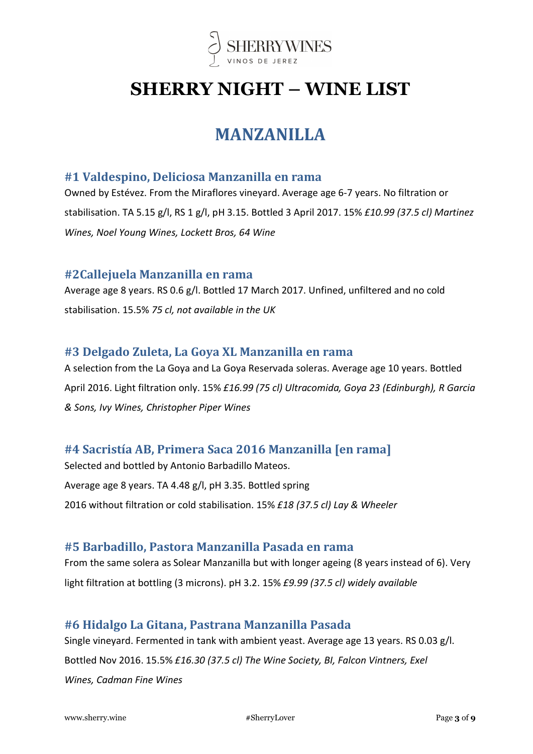

# SHERRY NIGHT – WINE LIST

## MANZANILLA

### #1 Valdespino, Deliciosa Manzanilla en rama

Owned by Estévez. From the Miraflores vineyard. Average age 6-7 years. No filtration or stabilisation. TA 5.15 g/l, RS 1 g/l, pH 3.15. Bottled 3 April 2017. 15% £10.99 (37.5 cl) Martinez Wines, Noel Young Wines, Lockett Bros, 64 Wine

### #2Callejuela Manzanilla en rama

Average age 8 years. RS 0.6 g/l. Bottled 17 March 2017. Unfined, unfiltered and no cold stabilisation. 15.5% 75 cl, not available in the UK

### #3 Delgado Zuleta, La Goya XL Manzanilla en rama

A selection from the La Goya and La Goya Reservada soleras. Average age 10 years. Bottled April 2016. Light filtration only. 15% £16.99 (75 cl) Ultracomida, Goya 23 (Edinburgh), R Garcia & Sons, Ivy Wines, Christopher Piper Wines

### #4 Sacristía AB, Primera Saca 2016 Manzanilla [en rama]

Selected and bottled by Antonio Barbadillo Mateos. Average age 8 years. TA 4.48 g/l, pH 3.35. Bottled spring 2016 without filtration or cold stabilisation. 15% £18 (37.5 cl) Lay & Wheeler

### #5 Barbadillo, Pastora Manzanilla Pasada en rama

From the same solera as Solear Manzanilla but with longer ageing (8 years instead of 6). Very light filtration at bottling (3 microns). pH 3.2. 15% £9.99 (37.5 cl) widely available

### #6 Hidalgo La Gitana, Pastrana Manzanilla Pasada

Single vineyard. Fermented in tank with ambient yeast. Average age 13 years. RS 0.03 g/l. Bottled Nov 2016. 15.5% £16.30 (37.5 cl) The Wine Society, BI, Falcon Vintners, Exel Wines, Cadman Fine Wines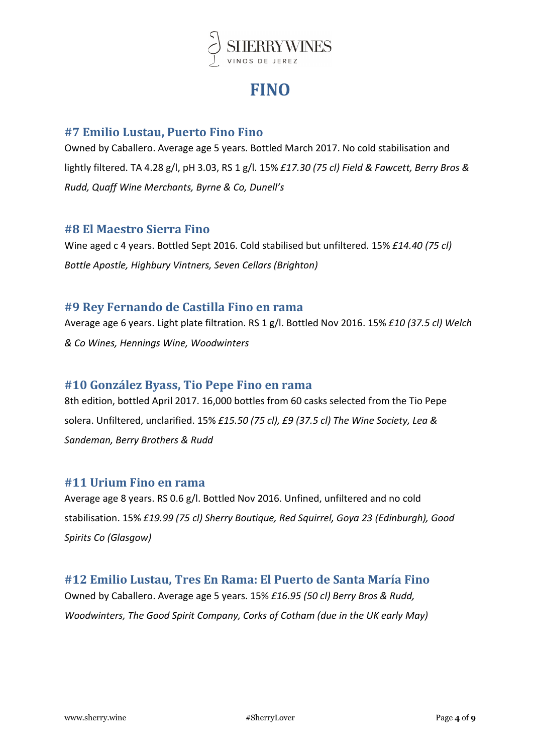

## **FINO**

### #7 Emilio Lustau, Puerto Fino Fino

Owned by Caballero. Average age 5 years. Bottled March 2017. No cold stabilisation and lightly filtered. TA 4.28 g/l, pH 3.03, RS 1 g/l. 15% £17.30 (75 cl) Field & Fawcett, Berry Bros & Rudd, Quaff Wine Merchants, Byrne & Co, Dunell's

### #8 El Maestro Sierra Fino

Wine aged c 4 years. Bottled Sept 2016. Cold stabilised but unfiltered. 15% £14.40 (75 cl) Bottle Apostle, Highbury Vintners, Seven Cellars (Brighton)

### #9 Rey Fernando de Castilla Fino en rama

Average age 6 years. Light plate filtration. RS 1 g/l. Bottled Nov 2016. 15% £10 (37.5 cl) Welch & Co Wines, Hennings Wine, Woodwinters

### #10 González Byass, Tio Pepe Fino en rama

8th edition, bottled April 2017. 16,000 bottles from 60 casks selected from the Tio Pepe solera. Unfiltered, unclarified. 15% £15.50 (75 cl), £9 (37.5 cl) The Wine Society, Lea & Sandeman, Berry Brothers & Rudd

### #11 Urium Fino en rama

Average age 8 years. RS 0.6 g/l. Bottled Nov 2016. Unfined, unfiltered and no cold stabilisation. 15% £19.99 (75 cl) Sherry Boutique, Red Squirrel, Goya 23 (Edinburgh), Good Spirits Co (Glasgow)

### #12 Emilio Lustau, Tres En Rama: El Puerto de Santa María Fino

Owned by Caballero. Average age 5 years. 15% £16.95 (50 cl) Berry Bros & Rudd, Woodwinters, The Good Spirit Company, Corks of Cotham (due in the UK early May)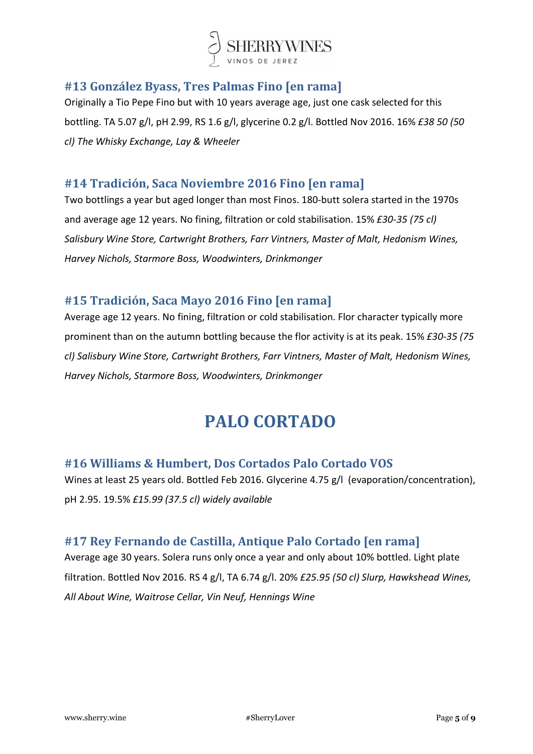

## #13 González Byass, Tres Palmas Fino [en rama]

Originally a Tio Pepe Fino but with 10 years average age, just one cask selected for this bottling. TA 5.07 g/l, pH 2.99, RS 1.6 g/l, glycerine 0.2 g/l. Bottled Nov 2016. 16% £38 50 (50 cl) The Whisky Exchange, Lay & Wheeler

### #14 Tradición, Saca Noviembre 2016 Fino [en rama]

Two bottlings a year but aged longer than most Finos. 180-butt solera started in the 1970s and average age 12 years. No fining, filtration or cold stabilisation. 15% £30-35 (75 cl) Salisbury Wine Store, Cartwright Brothers, Farr Vintners, Master of Malt, Hedonism Wines, Harvey Nichols, Starmore Boss, Woodwinters, Drinkmonger

### #15 Tradición, Saca Mayo 2016 Fino [en rama]

Average age 12 years. No fining, filtration or cold stabilisation. Flor character typically more prominent than on the autumn bottling because the flor activity is at its peak. 15% £30-35 (75 cl) Salisbury Wine Store, Cartwright Brothers, Farr Vintners, Master of Malt, Hedonism Wines, Harvey Nichols, Starmore Boss, Woodwinters, Drinkmonger

## PALO CORTADO

### #16 Williams & Humbert, Dos Cortados Palo Cortado VOS

Wines at least 25 years old. Bottled Feb 2016. Glycerine 4.75 g/l (evaporation/concentration), pH 2.95. 19.5% £15.99 (37.5 cl) widely available

### #17 Rey Fernando de Castilla, Antique Palo Cortado [en rama]

Average age 30 years. Solera runs only once a year and only about 10% bottled. Light plate filtration. Bottled Nov 2016. RS 4 g/l, TA 6.74 g/l. 20% £25.95 (50 cl) Slurp, Hawkshead Wines, All About Wine, Waitrose Cellar, Vin Neuf, Hennings Wine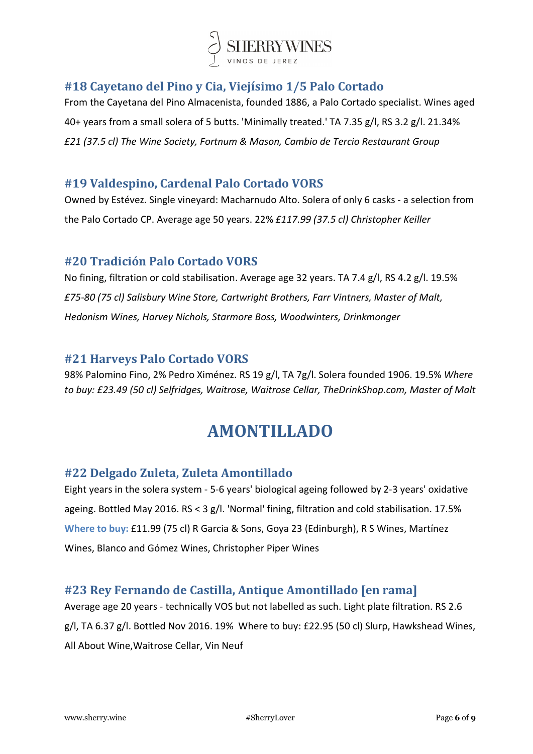

## #18 Cayetano del Pino y Cia, Viejísimo 1/5 Palo Cortado

From the Cayetana del Pino Almacenista, founded 1886, a Palo Cortado specialist. Wines aged 40+ years from a small solera of 5 butts. 'Minimally treated.' TA 7.35 g/l, RS 3.2 g/l. 21.34% £21 (37.5 cl) The Wine Society, Fortnum & Mason, Cambio de Tercio Restaurant Group

### #19 Valdespino, Cardenal Palo Cortado VORS

Owned by Estévez. Single vineyard: Macharnudo Alto. Solera of only 6 casks - a selection from the Palo Cortado CP. Average age 50 years. 22% £117.99 (37.5 cl) Christopher Keiller

### #20 Tradición Palo Cortado VORS

No fining, filtration or cold stabilisation. Average age 32 years. TA 7.4 g/l, RS 4.2 g/l. 19.5% £75-80 (75 cl) Salisbury Wine Store, Cartwright Brothers, Farr Vintners, Master of Malt, Hedonism Wines, Harvey Nichols, Starmore Boss, Woodwinters, Drinkmonger

### #21 Harveys Palo Cortado VORS

98% Palomino Fino, 2% Pedro Ximénez. RS 19 g/l, TA 7g/l. Solera founded 1906. 19.5% Where to buy: £23.49 (50 cl) Selfridges, Waitrose, Waitrose Cellar, TheDrinkShop.com, Master of Malt

## AMONTILLADO

### #22 Delgado Zuleta, Zuleta Amontillado

Eight years in the solera system - 5-6 years' biological ageing followed by 2-3 years' oxidative ageing. Bottled May 2016. RS < 3 g/l. 'Normal' fining, filtration and cold stabilisation. 17.5% Where to buy: £11.99 (75 cl) R Garcia & Sons, Goya 23 (Edinburgh), R S Wines, Martínez Wines, Blanco and Gómez Wines, Christopher Piper Wines

### #23 Rey Fernando de Castilla, Antique Amontillado [en rama]

Average age 20 years - technically VOS but not labelled as such. Light plate filtration. RS 2.6 g/l, TA 6.37 g/l. Bottled Nov 2016. 19% Where to buy: £22.95 (50 cl) Slurp, Hawkshead Wines, All About Wine,Waitrose Cellar, Vin Neuf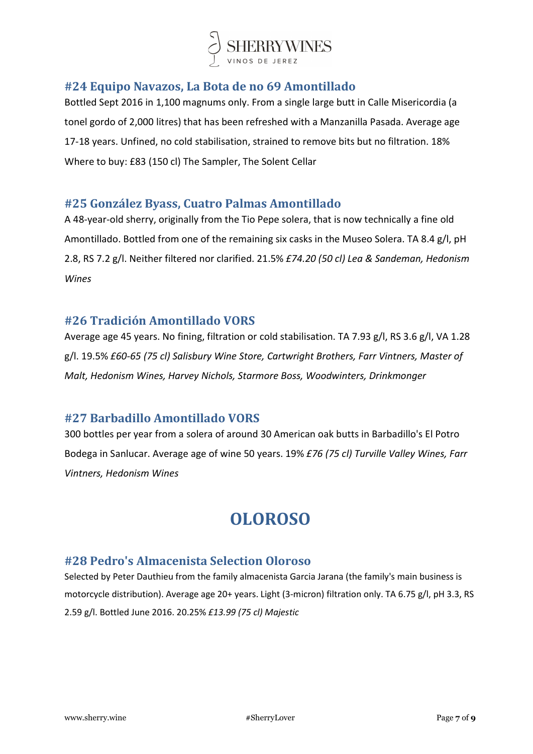

### #24 Equipo Navazos, La Bota de no 69 Amontillado

Bottled Sept 2016 in 1,100 magnums only. From a single large butt in Calle Misericordia (a tonel gordo of 2,000 litres) that has been refreshed with a Manzanilla Pasada. Average age 17-18 years. Unfined, no cold stabilisation, strained to remove bits but no filtration. 18% Where to buy: £83 (150 cl) The Sampler, The Solent Cellar

### #25 González Byass, Cuatro Palmas Amontillado

A 48-year-old sherry, originally from the Tio Pepe solera, that is now technically a fine old Amontillado. Bottled from one of the remaining six casks in the Museo Solera. TA 8.4 g/l, pH 2.8, RS 7.2 g/l. Neither filtered nor clarified. 21.5% £74.20 (50 cl) Lea & Sandeman, Hedonism Wines

### #26 Tradición Amontillado VORS

Average age 45 years. No fining, filtration or cold stabilisation. TA 7.93 g/l, RS 3.6 g/l, VA 1.28 g/l. 19.5% £60-65 (75 cl) Salisbury Wine Store, Cartwright Brothers, Farr Vintners, Master of Malt, Hedonism Wines, Harvey Nichols, Starmore Boss, Woodwinters, Drinkmonger

### #27 Barbadillo Amontillado VORS

300 bottles per year from a solera of around 30 American oak butts in Barbadillo's El Potro Bodega in Sanlucar. Average age of wine 50 years. 19% £76 (75 cl) Turville Valley Wines, Farr Vintners, Hedonism Wines

## OLOROSO

### #28 Pedro's Almacenista Selection Oloroso

Selected by Peter Dauthieu from the family almacenista Garcia Jarana (the family's main business is motorcycle distribution). Average age 20+ years. Light (3-micron) filtration only. TA 6.75 g/l, pH 3.3, RS 2.59 g/l. Bottled June 2016. 20.25% £13.99 (75 cl) Majestic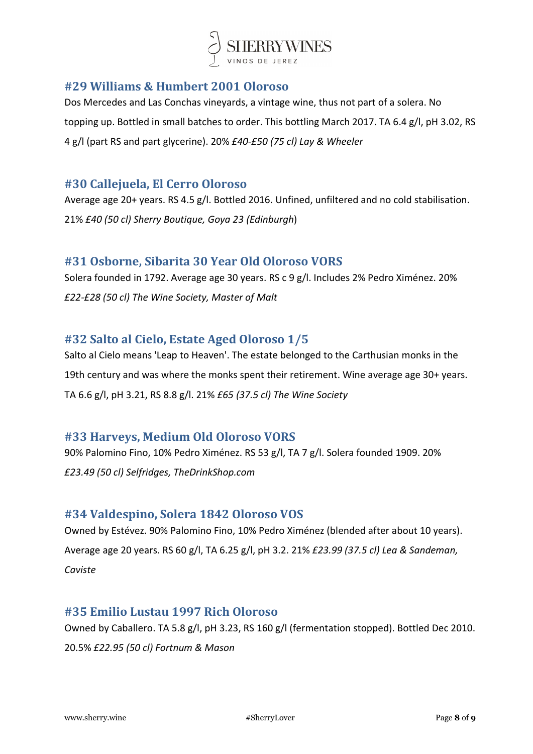

### #29 Williams & Humbert 2001 Oloroso

Dos Mercedes and Las Conchas vineyards, a vintage wine, thus not part of a solera. No topping up. Bottled in small batches to order. This bottling March 2017. TA 6.4 g/l, pH 3.02, RS 4 g/l (part RS and part glycerine). 20% £40-£50 (75 cl) Lay & Wheeler

### #30 Callejuela, El Cerro Oloroso

Average age 20+ years. RS 4.5 g/l. Bottled 2016. Unfined, unfiltered and no cold stabilisation. 21% £40 (50 cl) Sherry Boutique, Goya 23 (Edinburgh)

### #31 Osborne, Sibarita 30 Year Old Oloroso VORS

Solera founded in 1792. Average age 30 years. RS c 9 g/l. Includes 2% Pedro Ximénez. 20% £22-£28 (50 cl) The Wine Society, Master of Malt

### #32 Salto al Cielo, Estate Aged Oloroso 1/5

Salto al Cielo means 'Leap to Heaven'. The estate belonged to the Carthusian monks in the 19th century and was where the monks spent their retirement. Wine average age 30+ years. TA 6.6 g/l, pH 3.21, RS 8.8 g/l. 21% £65 (37.5 cl) The Wine Society

### #33 Harveys, Medium Old Oloroso VORS

90% Palomino Fino, 10% Pedro Ximénez. RS 53 g/l, TA 7 g/l. Solera founded 1909. 20% £23.49 (50 cl) Selfridges, TheDrinkShop.com

### #34 Valdespino, Solera 1842 Oloroso VOS

Owned by Estévez. 90% Palomino Fino, 10% Pedro Ximénez (blended after about 10 years). Average age 20 years. RS 60 g/l, TA 6.25 g/l, pH 3.2. 21% £23.99 (37.5 cl) Lea & Sandeman, Caviste

### #35 Emilio Lustau 1997 Rich Oloroso

Owned by Caballero. TA 5.8 g/l, pH 3.23, RS 160 g/l (fermentation stopped). Bottled Dec 2010. 20.5% £22.95 (50 cl) Fortnum & Mason